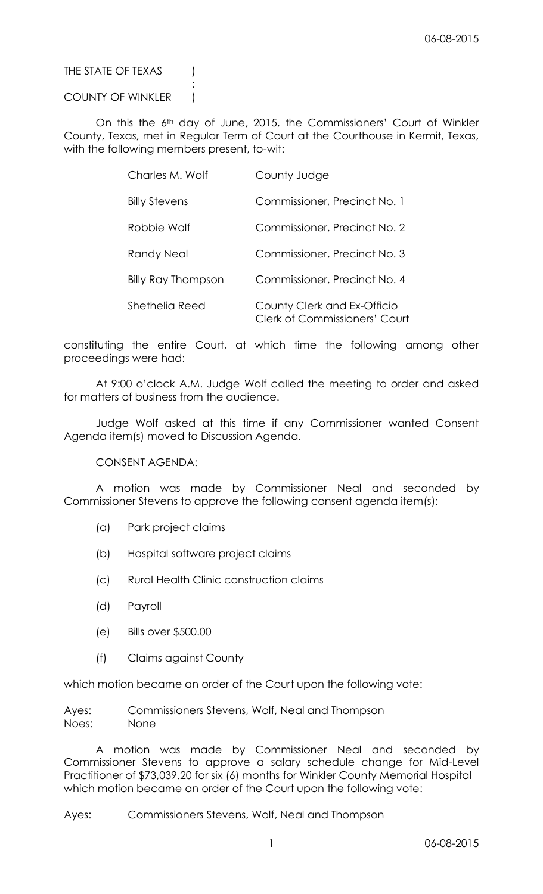## THE STATE OF TEXAS (

## COUNTY OF WINKLER )

:

On this the 6th day of June, 2015, the Commissioners' Court of Winkler County, Texas, met in Regular Term of Court at the Courthouse in Kermit, Texas, with the following members present, to-wit:

| Charles M. Wolf      | County Judge                                                        |  |  |  |
|----------------------|---------------------------------------------------------------------|--|--|--|
| <b>Billy Stevens</b> | Commissioner, Precinct No. 1                                        |  |  |  |
| Robbie Wolf          | Commissioner, Precinct No. 2                                        |  |  |  |
| <b>Randy Neal</b>    | Commissioner, Precinct No. 3                                        |  |  |  |
| Billy Ray Thompson   | Commissioner, Precinct No. 4                                        |  |  |  |
| Shethelia Reed       | County Clerk and Ex-Officio<br><b>Clerk of Commissioners' Court</b> |  |  |  |

constituting the entire Court, at which time the following among other proceedings were had:

At 9:00 o'clock A.M. Judge Wolf called the meeting to order and asked for matters of business from the audience.

Judge Wolf asked at this time if any Commissioner wanted Consent Agenda item(s) moved to Discussion Agenda.

CONSENT AGENDA:

A motion was made by Commissioner Neal and seconded by Commissioner Stevens to approve the following consent agenda item(s):

- (a) Park project claims
- (b) Hospital software project claims
- (c) Rural Health Clinic construction claims
- (d) Payroll
- (e) Bills over \$500.00
- (f) Claims against County

which motion became an order of the Court upon the following vote:

Ayes: Commissioners Stevens, Wolf, Neal and Thompson Noes: None

A motion was made by Commissioner Neal and seconded by Commissioner Stevens to approve a salary schedule change for Mid-Level Practitioner of \$73,039.20 for six (6) months for Winkler County Memorial Hospital which motion became an order of the Court upon the following vote:

### Ayes: Commissioners Stevens, Wolf, Neal and Thompson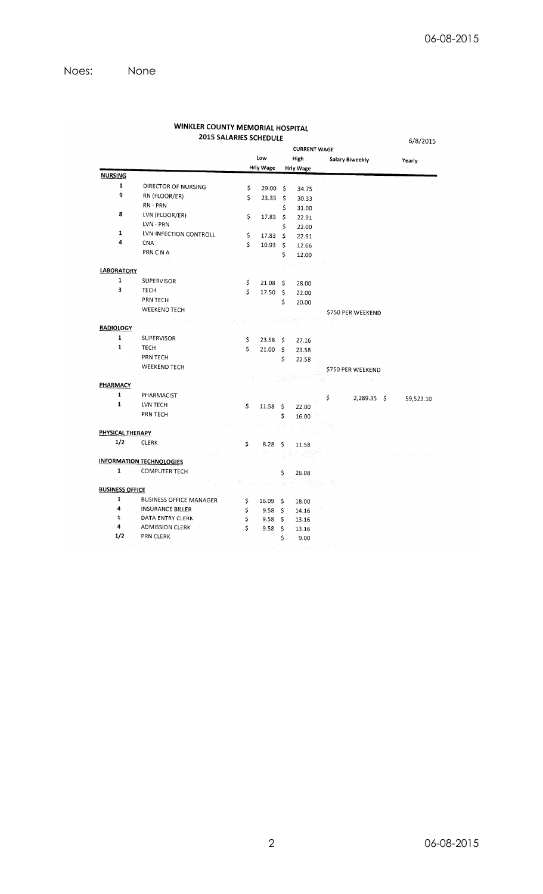|                        |                                 | <b>2015 SALARIES SCHEDULE</b> |                  |                     |                  |                        | 6/8/2015  |
|------------------------|---------------------------------|-------------------------------|------------------|---------------------|------------------|------------------------|-----------|
|                        |                                 | <b>CURRENT WAGE</b>           |                  |                     |                  |                        |           |
|                        |                                 |                               | Low              |                     | High             | <b>Salary Biweekly</b> | Yearly    |
|                        |                                 |                               | <b>Hrly Wage</b> |                     | <b>Hrly Wage</b> |                        |           |
| <b>NURSING</b>         |                                 |                               |                  |                     |                  |                        |           |
| $\mathbf{1}$           | DIRECTOR OF NURSING             | \$                            | 29.00            | \$                  | 34.75            |                        |           |
| 9                      | RN (FLOOR/ER)                   | \$                            | 23.33            | \$                  | 30.33            |                        |           |
|                        | RN - PRN                        |                               |                  | \$                  | 31.00            |                        |           |
| 8                      | LVN (FLOOR/ER)                  | \$                            | 17.83            | \$                  | 22.91            |                        |           |
|                        | LVN - PRN                       |                               |                  | \$                  | 22.00            |                        |           |
| $\mathbf{1}$           | LVN-INFECTION CONTROLL          | \$                            | 17.83            | \$                  | 22.91            |                        |           |
| 4                      | <b>CNA</b>                      | \$                            | 10.93            | \$                  | 12.66            |                        |           |
|                        | <b>PRN CNA</b>                  |                               |                  | \$                  | 12.00            |                        |           |
|                        |                                 |                               |                  |                     |                  |                        |           |
| <b>LABORATORY</b>      |                                 |                               |                  |                     |                  |                        |           |
| $\mathbf{1}$           | <b>SUPERVISOR</b>               | \$                            | 21.08            | -\$                 | 28.00            |                        |           |
| 3                      | <b>TECH</b>                     | \$                            | 17.50            | $\ddot{\mathsf{S}}$ | 22.00            |                        |           |
|                        | PRN TECH                        |                               |                  | \$                  | 20.00            |                        |           |
|                        | <b>WEEKEND TECH</b>             |                               |                  |                     |                  | \$750 PER WEEKEND      |           |
|                        |                                 |                               |                  |                     |                  |                        |           |
| <b>RADIOLOGY</b>       |                                 |                               |                  |                     |                  |                        |           |
| $\mathbf{1}$           | <b>SUPERVISOR</b>               | \$                            | 23.58            | -\$                 | 27.16            |                        |           |
| $\mathbf{1}$           | <b>TECH</b>                     | \$                            | 21.00            | \$                  | 23.58            |                        |           |
|                        | PRN TECH                        |                               |                  | \$                  | 22.58            |                        |           |
|                        | <b>WEEKEND TECH</b>             |                               |                  |                     |                  | \$750 PER WEEKEND      |           |
|                        |                                 |                               |                  |                     |                  |                        |           |
| PHARMACY               |                                 |                               |                  |                     |                  |                        |           |
| $\mathbf{1}$           | PHARMACIST                      |                               |                  |                     |                  | \$<br>$2,289.35$ \$    | 59,523.10 |
| $\mathbf{1}$           | LVN TECH                        | \$                            | 11.58            | \$                  | 22.00            |                        |           |
|                        | PRN TECH                        |                               |                  | \$                  | 16.00            |                        |           |
|                        |                                 |                               |                  |                     |                  |                        |           |
| PHYSICAL THERAPY       |                                 |                               |                  |                     |                  |                        |           |
| 1/2                    | <b>CLERK</b>                    | \$                            | 8.28             | \$                  | 11.58            |                        |           |
| o de                   |                                 |                               |                  |                     |                  |                        |           |
|                        | <b>INFORMATION TECHNOLOGIES</b> |                               |                  |                     |                  |                        |           |
| $\mathbf{1}$           | <b>COMPUTER TECH</b>            |                               |                  | \$                  | 26.08            |                        |           |
|                        |                                 |                               |                  |                     |                  |                        |           |
| <b>BUSINESS OFFICE</b> |                                 |                               |                  |                     |                  |                        |           |
| $\mathbf{1}$           | <b>BUSINESS OFFICE MANAGER</b>  | \$                            | 16.09            | \$                  | 18.00            |                        |           |
| 4                      | <b>INSURANCE BILLER</b>         | \$                            | 9.58             | \$                  | 14.16            |                        |           |
| $\mathbf 1$            | DATA ENTRY CLERK                | \$                            | 9.58             | \$                  | 13.16            |                        |           |
| 4                      | <b>ADMISSION CLERK</b>          | \$                            | 9.58             | \$                  | 13.16            |                        |           |
| 1/2                    | PRN CLERK                       |                               |                  | \$                  | 9.00             |                        |           |

# WINKLER COUNTY MEMORIAL HOSPITAL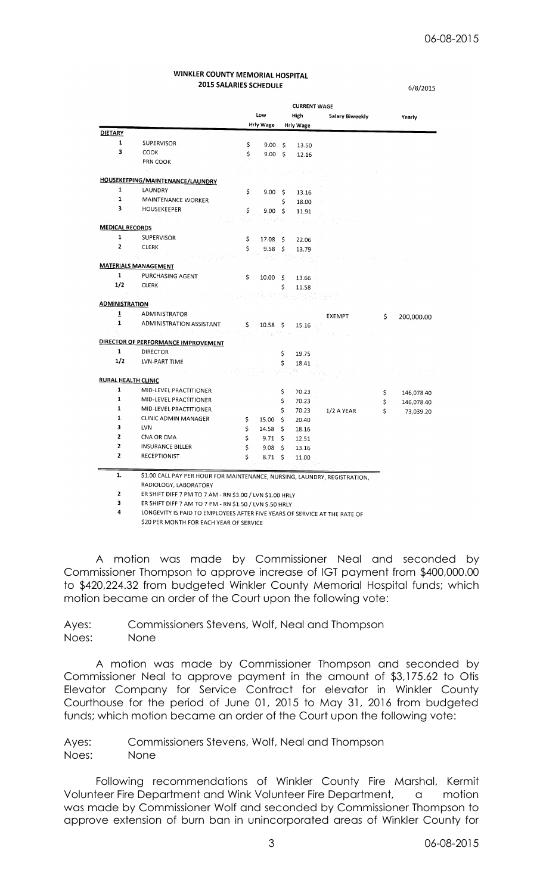6/8/2015

#### WINKLER COUNTY MEMORIAL HOSPITAL **2015 SALARIES SCHEDULE**

**CURRENT WAGF** Low High Salary Biweekly Yearly **Hrly Wage Hrly Wage DIETARY**  $\mathbf 1$ **SUPERVISOR** Ś  $9.00 S$ 13.50  $\overline{\mathbf{3}}$ COOK \$  $9.00 \quad $$ 12.16 PRN COOK HOUSEKEEPING/MAINTENANCE/LAUNDRY  $\mathbf{1}$ LAUNDRY \$  $9.00<sub>5</sub>$ 13.16  $\mathbf{1}$ **MAINTENANCE WORKER** 18.00 \$.  $\overline{\mathbf{3}}$ HOUSEKEEPER  $9.00$ \$  $\varsigma$ 11.91 **MEDICAL RECORDS**  $\mathbf{1}$ **SUPERVISOR** \$ 17.08  $\ddot{\mathsf{s}}$ 22.06 **CLERK**  $\overline{2}$ \$ 9.58  $\mathsf{\hat{S}}$ 13.79 **MATERIALS MANAGEMENT**  $\mathbf{1}$ **PURCHASING AGENT**  $10.005$ 13.66  $1/2$ **CLERK** \$ 11.58 **ADMINISTRATION** ADMINISTRATOR  $\overline{\mathbf{1}}$ **EXEMPT** 200,000.00 \$  $\mathbf{1}$ **ADMINISTRATION ASSISTANT**  $10.58<sub>5</sub>$ 15.16 DIRECTOR OF PERFORMANCE IMPROVEMENT **DIRECTOR** \$ 19.75  $1/2$ **LVN-PART TIME**  $\mathsf{s}$ 18.41 **RURAL HEALTH CLINIC** MID-LEVEL PRACTITIONER  $\mathbf{1}$  $\dot{\mathsf{S}}$ 70.23  $\dot{\mathsf{S}}$ 146,078.40  $\mathbf 1$ MID-LEVEL PRACTITIONER Ŝ. 70.23 \$ 146,078.40  $\mathbf{1}$ MID-LEVEL PRACTITIONER  $\overline{\mathbf{s}}$ 70.23 1/2 A YEAR \$ 73,039.20  $\mathbf{1}$ **CLINIC ADMIN MANAGER**  $15.00\frac{1}{5}$ 20.40 Ŝ  $\mathbf{3}$ LVN \$ 14.58 \$ 18.16  $\overline{2}$ CNA OR CMA \$ 9.71 \$ 12.51  $\overline{2}$ **INSURANCE BILLER** \$  $9.08$  $\ddot{\mathsf{s}}$ 13.16  $\overline{2}$ **RECEPTIONIST** \$ 8.71 \$ 11.00  $\overline{1}$ . \$1.00 CALL PAY PER HOUR FOR MAINTENANCE, NURSING, LAUNDRY, REGISTRATION, RADIOLOGY, LABORATORY  $\overline{z}$ ER SHIFT DIFF 7 PM TO 7 AM - RN \$3.00 / LVN \$1.00 HRLY

ER SHIFT DIFF 7 AM TO 7 PM - RN \$1.50 / LVN \$.50 HRLY  $\overline{\mathbf{3}}$ 

 $\overline{a}$ LONGEVITY IS PAID TO EMPLOYEES AFTER FIVE YEARS OF SERVICE AT THE RATE OF \$20 PER MONTH FOR EACH YEAR OF SERVICE

A motion was made by Commissioner Neal and seconded by Commissioner Thompson to approve increase of IGT payment from \$400,000.00 to \$420,224.32 from budgeted Winkler County Memorial Hospital funds; which motion became an order of the Court upon the following vote:

Ayes: Commissioners Stevens, Wolf, Neal and Thompson Noes: None

A motion was made by Commissioner Thompson and seconded by Commissioner Neal to approve payment in the amount of \$3,175.62 to Otis Elevator Company for Service Contract for elevator in Winkler County Courthouse for the period of June 01, 2015 to May 31, 2016 from budgeted funds; which motion became an order of the Court upon the following vote:

Ayes: Commissioners Stevens, Wolf, Neal and Thompson Noes: None

Following recommendations of Winkler County Fire Marshal, Kermit Volunteer Fire Department and Wink Volunteer Fire Department, a motion was made by Commissioner Wolf and seconded by Commissioner Thompson to approve extension of burn ban in unincorporated areas of Winkler County for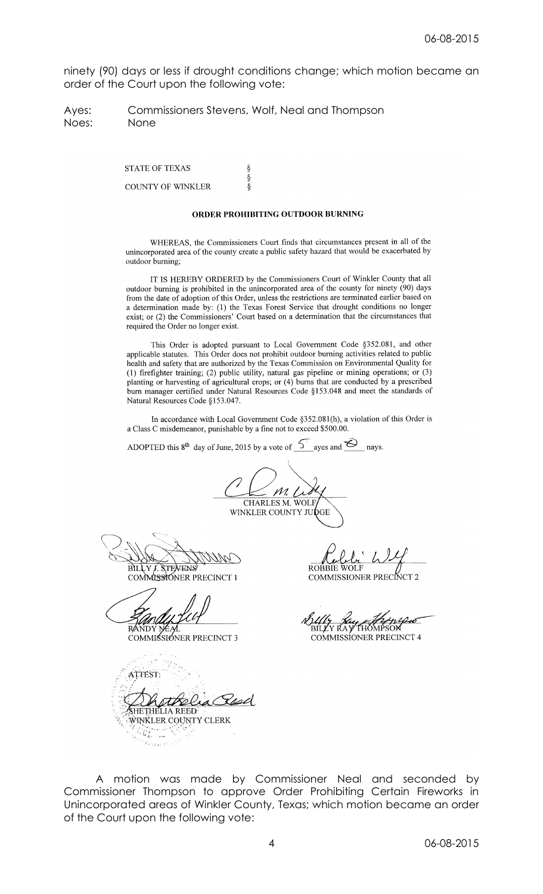ninety (90) days or less if drought conditions change; which motion became an order of the Court upon the following vote:

Ayes: Commissioners Stevens, Wolf, Neal and Thompson Noes: None

> $\S$ ş

Ş

**STATE OF TEXAS** COUNTY OF WINKLER

#### ORDER PROHIBITING OUTDOOR BURNING

WHEREAS, the Commissioners Court finds that circumstances present in all of the unincorporated area of the county create a public safety hazard that would be exacerbated by outdoor burning;

IT IS HEREBY ORDERED by the Commissioners Court of Winkler County that all outdoor burning is prohibited in the unincorporated area of the county for ninety (90) days from the date of adoption of this Order, unless the restrictions are terminated earlier based on a determination made by: (1) the Texas Forest Service that drought conditions no longer exist; or (2) the Commissioners' Court based on a determination that the circumstances that required the Order no longer exist.

This Order is adopted pursuant to Local Government Code §352.081, and other applicable statutes. This Order does not prohibit outdoor burning activities related to public health and safety that are authorized by the Texas Commission on Environmental Quality for (1) firefighter training; (2) public utility, natural gas pipeline or mining operations; or (3) planting or harvesting of agricultural crops; or  $(4)$  burns that are conducted by a prescribed burn manager certified under Natural Resources Code §153.048 and meet the standards of Natural Resources Code §153.047.

In accordance with Local Government Code §352.081(h), a violation of this Order is a Class C misdemeanor, punishable by a fine not to exceed \$500.00.

ADOPTED this  $8^{th}$  day of June, 2015 by a vote of  $\overline{5}$  ayes and  $\overline{6}$  nays.

M. **CHARLES M. WOLF** WINKLER COUNTY JUI

**BILLY STEVENS** 

COMMISSIONER PRECINCT 1

R/

COMMISSIONER PRECINCT 3

ATTEST: SHETHELIA REED WINKLER COUNTY CLERK  $C_{\alpha}$  $\epsilon$  or

**ROBBIE WOLF** 

COMMISSIONER PRECINCT

Y KA) **COMMISSIONER PRECINCT 4** 

A motion was made by Commissioner Neal and seconded by Commissioner Thompson to approve Order Prohibiting Certain Fireworks in Unincorporated areas of Winkler County, Texas; which motion became an order of the Court upon the following vote: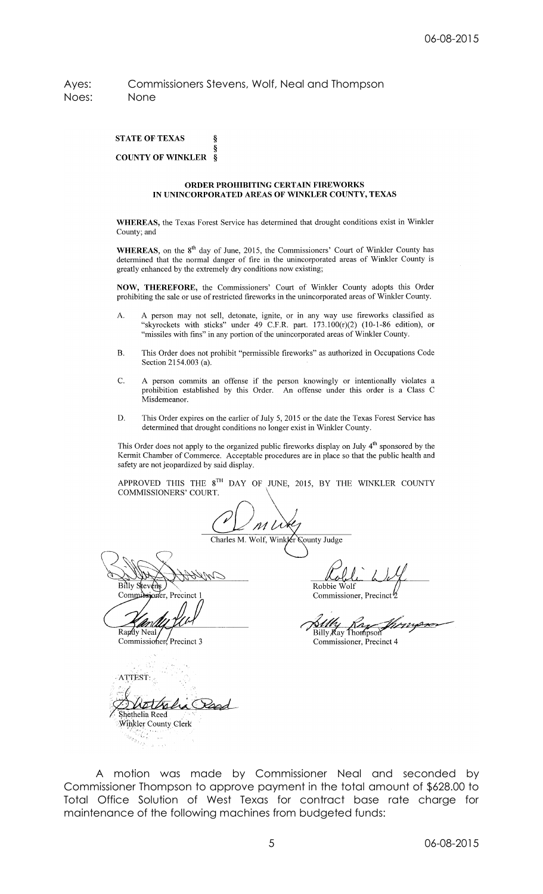## Ayes: Commissioners Stevens, Wolf, Neal and Thompson Noes: None

**STATE OF TEXAS** ş **COUNTY OF WINKLER**  $\boldsymbol{s}$ 

#### ORDER PROHIBITING CERTAIN FIREWORKS IN UNINCORPORATED AREAS OF WINKLER COUNTY, TEXAS

WHEREAS, the Texas Forest Service has determined that drought conditions exist in Winkler County; and

WHEREAS, on the 8<sup>th</sup> day of June, 2015, the Commissioners' Court of Winkler County has determined that the normal danger of fire in the unincorporated areas of Winkler County is greatly enhanced by the extremely dry conditions now existing;

NOW, THEREFORE, the Commissioners' Court of Winkler County adopts this Order prohibiting the sale or use of restricted fireworks in the unincorporated areas of Winkler County.

- A person may not sell, detonate, ignite, or in any way use fireworks classified as "skyrockets with sticks" under 49 C.F.R. part.  $173.100(r)(2)$  (10-1-86 edition), or A. "missiles with fins" in any portion of the unincorporated areas of Winkler County.
- $B.$ This Order does not prohibit "permissible fireworks" as authorized in Occupations Code Section 2154.003 (a).
- $\mathbf{C}$ . A person commits an offense if the person knowingly or intentionally violates a prohibition established by this Order. An offense under this order is a Class C Misdemeanor.
- This Order expires on the earlier of July 5, 2015 or the date the Texas Forest Service has D. determined that drought conditions no longer exist in Winkler County.

This Order does not apply to the organized public fireworks display on July 4<sup>th</sup> sponsored by the Kermit Chamber of Commerce. Acceptable procedures are in place so that the public health and safety are not jeopardized by said display.

APPROVED THIS THE  $8^{TH}$  DAY OF JUNE, 2015, BY THE WINKLER COUNTY COMMISSIONERS' COURT.

N T

Charles M. Wolf, Winkler **County Judge** 

Billy

Comp

Randy Neal Commissioner. Precinct 3

ATTEST: tiks Shethelia Reed Winkler County Clerk

Robbie

Commissioner, Precinct

**Sully** Ka

Commissioner, Precinct 4

A motion was made by Commissioner Neal and seconded by Commissioner Thompson to approve payment in the total amount of \$628.00 to Total Office Solution of West Texas for contract base rate charge for maintenance of the following machines from budgeted funds: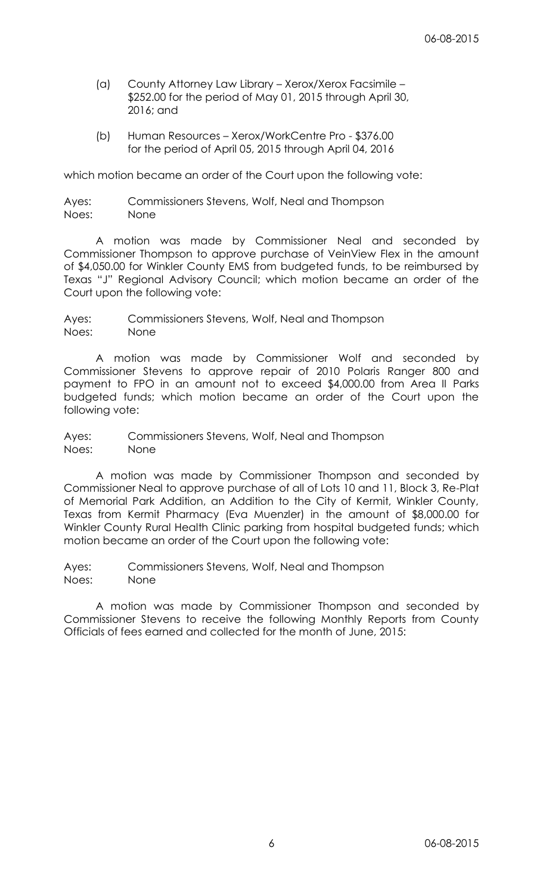- (a) County Attorney Law Library Xerox/Xerox Facsimile \$252.00 for the period of May 01, 2015 through April 30, 2016; and
- (b) Human Resources Xerox/WorkCentre Pro \$376.00 for the period of April 05, 2015 through April 04, 2016

which motion became an order of the Court upon the following vote:

Ayes: Commissioners Stevens, Wolf, Neal and Thompson Noes: None

A motion was made by Commissioner Neal and seconded by Commissioner Thompson to approve purchase of VeinView Flex in the amount of \$4,050.00 for Winkler County EMS from budgeted funds, to be reimbursed by Texas "J" Regional Advisory Council; which motion became an order of the Court upon the following vote:

Ayes: Commissioners Stevens, Wolf, Neal and Thompson Noes: None

A motion was made by Commissioner Wolf and seconded by Commissioner Stevens to approve repair of 2010 Polaris Ranger 800 and payment to FPO in an amount not to exceed \$4,000.00 from Area II Parks budgeted funds; which motion became an order of the Court upon the following vote:

Ayes: Commissioners Stevens, Wolf, Neal and Thompson Noes: None

A motion was made by Commissioner Thompson and seconded by Commissioner Neal to approve purchase of all of Lots 10 and 11, Block 3, Re-Plat of Memorial Park Addition, an Addition to the City of Kermit, Winkler County, Texas from Kermit Pharmacy (Eva Muenzler) in the amount of \$8,000.00 for Winkler County Rural Health Clinic parking from hospital budgeted funds; which motion became an order of the Court upon the following vote:

Ayes: Commissioners Stevens, Wolf, Neal and Thompson Noes: None

A motion was made by Commissioner Thompson and seconded by Commissioner Stevens to receive the following Monthly Reports from County Officials of fees earned and collected for the month of June, 2015: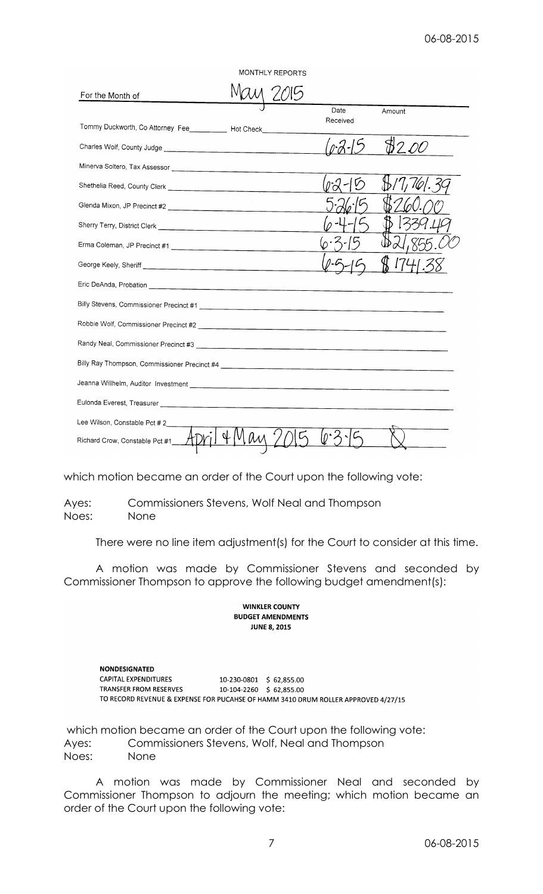| MONTHLY REPORTS                                                     |  |  |                  |        |  |  |  |  |
|---------------------------------------------------------------------|--|--|------------------|--------|--|--|--|--|
| For the Month of                                                    |  |  |                  |        |  |  |  |  |
| Tommy Duckworth, Co Attorney Fee____________ Hot Check_____________ |  |  | Date<br>Received | Amount |  |  |  |  |
|                                                                     |  |  |                  |        |  |  |  |  |
|                                                                     |  |  |                  |        |  |  |  |  |
|                                                                     |  |  |                  |        |  |  |  |  |
|                                                                     |  |  |                  |        |  |  |  |  |
|                                                                     |  |  |                  |        |  |  |  |  |
|                                                                     |  |  |                  |        |  |  |  |  |
|                                                                     |  |  |                  |        |  |  |  |  |
|                                                                     |  |  |                  |        |  |  |  |  |
|                                                                     |  |  |                  |        |  |  |  |  |
|                                                                     |  |  |                  |        |  |  |  |  |
|                                                                     |  |  |                  |        |  |  |  |  |
|                                                                     |  |  |                  |        |  |  |  |  |
|                                                                     |  |  |                  |        |  |  |  |  |
|                                                                     |  |  |                  |        |  |  |  |  |
| Lee Wilson, Constable Pct #2                                        |  |  |                  |        |  |  |  |  |
| Richard Crow, Constable Pct #1___                                   |  |  |                  |        |  |  |  |  |

which motion became an order of the Court upon the following vote:

Ayes: Commissioners Stevens, Wolf Neal and Thompson Noes: None

There were no line item adjustment(s) for the Court to consider at this time.

A motion was made by Commissioner Stevens and seconded by Commissioner Thompson to approve the following budget amendment(s):

#### **WINKLER COUNTY BUDGET AMENDMENTS JUNE 8, 2015**

**NONDESIGNATED** CAPITAL EXPENDITURES 10-230-0801 \$62,855.00 TRANSFER FROM RESERVES 10-104-2260 \$ 62,855.00 TO RECORD REVENUE & EXPENSE FOR PUCAHSE OF HAMM 3410 DRUM ROLLER APPROVED 4/27/15

which motion became an order of the Court upon the following vote: Ayes: Commissioners Stevens, Wolf, Neal and Thompson Noes: None

A motion was made by Commissioner Neal and seconded by Commissioner Thompson to adjourn the meeting; which motion became an order of the Court upon the following vote: